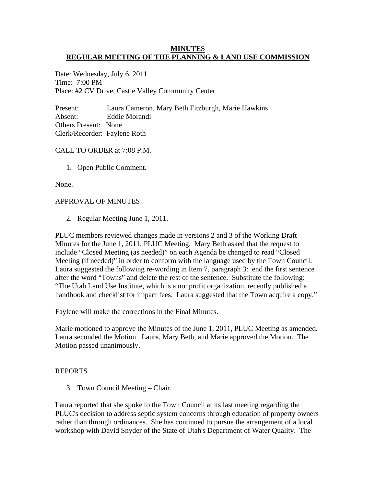# **MINUTES REGULAR MEETING OF THE PLANNING & LAND USE COMMISSION**

Date: Wednesday, July 6, 2011 Time: 7:00 PM Place: #2 CV Drive, Castle Valley Community Center

Present: Laura Cameron, Mary Beth Fitzburgh, Marie Hawkins Absent: Eddie Morandi Others Present: None Clerk/Recorder: Faylene Roth

### CALL TO ORDER at 7:08 P.M.

1. Open Public Comment.

None.

#### APPROVAL OF MINUTES

2. Regular Meeting June 1, 2011.

PLUC members reviewed changes made in versions 2 and 3 of the Working Draft Minutes for the June 1, 2011, PLUC Meeting. Mary Beth asked that the request to include "Closed Meeting (as needed)" on each Agenda be changed to read "Closed Meeting (if needed)" in order to conform with the language used by the Town Council. Laura suggested the following re-wording in Item 7, paragraph 3: end the first sentence after the word "Towns" and delete the rest of the sentence. Substitute the following: "The Utah Land Use Institute, which is a nonprofit organization, recently published a handbook and checklist for impact fees. Laura suggested that the Town acquire a copy."

Faylene will make the corrections in the Final Minutes.

Marie motioned to approve the Minutes of the June 1, 2011, PLUC Meeting as amended. Laura seconded the Motion. Laura, Mary Beth, and Marie approved the Motion. The Motion passed unanimously.

#### REPORTS

3. Town Council Meeting – Chair.

Laura reported that she spoke to the Town Council at its last meeting regarding the PLUC's decision to address septic system concerns through education of property owners rather than through ordinances. She has continued to pursue the arrangement of a local workshop with David Snyder of the State of Utah's Department of Water Quality. The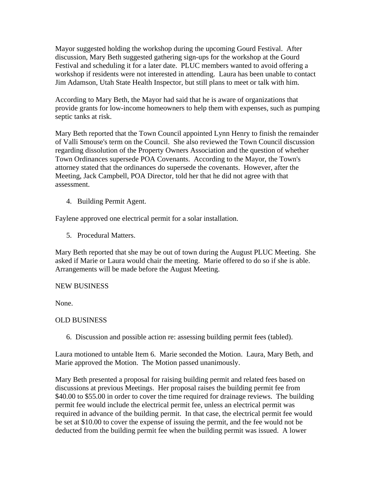Mayor suggested holding the workshop during the upcoming Gourd Festival. After discussion, Mary Beth suggested gathering sign-ups for the workshop at the Gourd Festival and scheduling it for a later date. PLUC members wanted to avoid offering a workshop if residents were not interested in attending. Laura has been unable to contact Jim Adamson, Utah State Health Inspector, but still plans to meet or talk with him.

According to Mary Beth, the Mayor had said that he is aware of organizations that provide grants for low-income homeowners to help them with expenses, such as pumping septic tanks at risk.

Mary Beth reported that the Town Council appointed Lynn Henry to finish the remainder of Valli Smouse's term on the Council. She also reviewed the Town Council discussion regarding dissolution of the Property Owners Association and the question of whether Town Ordinances supersede POA Covenants. According to the Mayor, the Town's attorney stated that the ordinances do supersede the covenants. However, after the Meeting, Jack Campbell, POA Director, told her that he did not agree with that assessment.

4. Building Permit Agent.

Faylene approved one electrical permit for a solar installation.

5. Procedural Matters.

Mary Beth reported that she may be out of town during the August PLUC Meeting. She asked if Marie or Laura would chair the meeting. Marie offered to do so if she is able. Arrangements will be made before the August Meeting.

# NEW BUSINESS

None.

# OLD BUSINESS

6. Discussion and possible action re: assessing building permit fees (tabled).

Laura motioned to untable Item 6. Marie seconded the Motion. Laura, Mary Beth, and Marie approved the Motion. The Motion passed unanimously.

Mary Beth presented a proposal for raising building permit and related fees based on discussions at previous Meetings. Her proposal raises the building permit fee from \$40.00 to \$55.00 in order to cover the time required for drainage reviews. The building permit fee would include the electrical permit fee, unless an electrical permit was required in advance of the building permit. In that case, the electrical permit fee would be set at \$10.00 to cover the expense of issuing the permit, and the fee would not be deducted from the building permit fee when the building permit was issued. A lower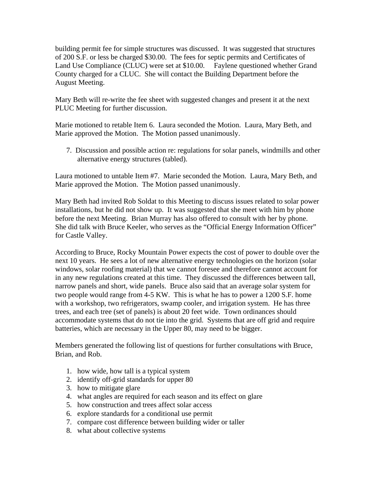building permit fee for simple structures was discussed. It was suggested that structures of 200 S.F. or less be charged \$30.00. The fees for septic permits and Certificates of Land Use Compliance (CLUC) were set at \$10.00. Faylene questioned whether Grand County charged for a CLUC. She will contact the Building Department before the August Meeting.

Mary Beth will re-write the fee sheet with suggested changes and present it at the next PLUC Meeting for further discussion.

Marie motioned to retable Item 6. Laura seconded the Motion. Laura, Mary Beth, and Marie approved the Motion. The Motion passed unanimously.

 7. Discussion and possible action re: regulations for solar panels, windmills and other alternative energy structures (tabled).

Laura motioned to untable Item #7. Marie seconded the Motion. Laura, Mary Beth, and Marie approved the Motion. The Motion passed unanimously.

Mary Beth had invited Rob Soldat to this Meeting to discuss issues related to solar power installations, but he did not show up. It was suggested that she meet with him by phone before the next Meeting. Brian Murray has also offered to consult with her by phone. She did talk with Bruce Keeler, who serves as the "Official Energy Information Officer" for Castle Valley.

According to Bruce, Rocky Mountain Power expects the cost of power to double over the next 10 years. He sees a lot of new alternative energy technologies on the horizon (solar windows, solar roofing material) that we cannot foresee and therefore cannot account for in any new regulations created at this time. They discussed the differences between tall, narrow panels and short, wide panels. Bruce also said that an average solar system for two people would range from 4-5 KW. This is what he has to power a 1200 S.F. home with a workshop, two refrigerators, swamp cooler, and irrigation system. He has three trees, and each tree (set of panels) is about 20 feet wide. Town ordinances should accommodate systems that do not tie into the grid. Systems that are off grid and require batteries, which are necessary in the Upper 80, may need to be bigger.

Members generated the following list of questions for further consultations with Bruce, Brian, and Rob.

- 1. how wide, how tall is a typical system
- 2. identify off-grid standards for upper 80
- 3. how to mitigate glare
- 4. what angles are required for each season and its effect on glare
- 5. how construction and trees affect solar access
- 6. explore standards for a conditional use permit
- 7. compare cost difference between building wider or taller
- 8. what about collective systems